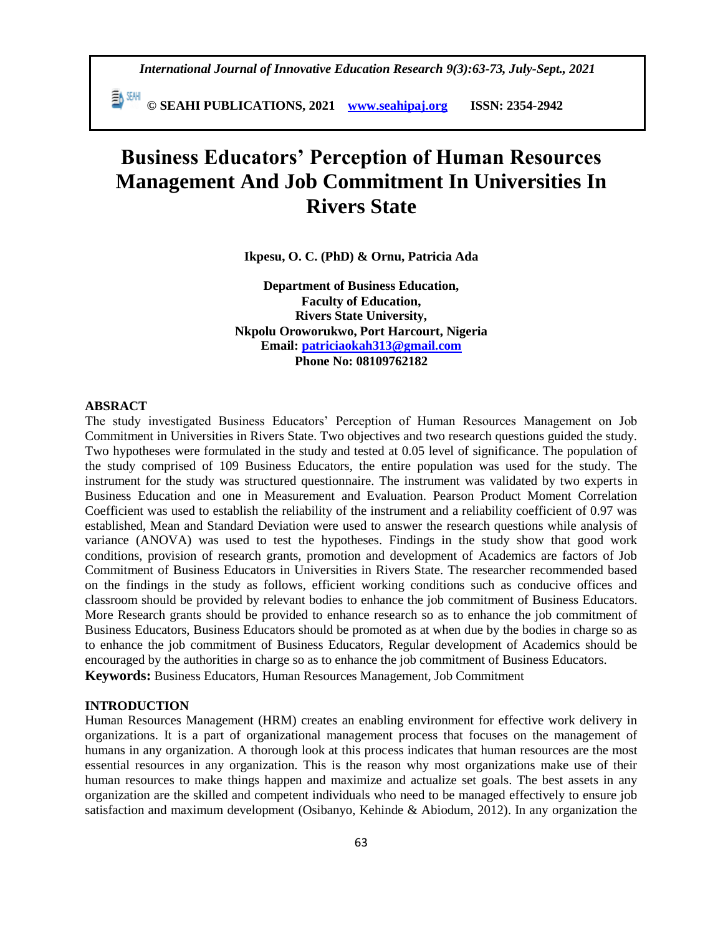*International Journal of Innovative Education Research 9(3):63-73, July-Sept., 2021*

 **© SEAHI PUBLICATIONS, 2021 [www.seahipaj.org](http://www.seahipaj.org/) ISSN: 2354-2942**

# **Business Educators' Perception of Human Resources Management And Job Commitment In Universities In Rivers State**

**Ikpesu, O. C. (PhD) & Ornu, Patricia Ada**

**Department of Business Education, Faculty of Education, Rivers State University, Nkpolu Oroworukwo, Port Harcourt, Nigeria Email: [patriciaokah313@gmail.com](mailto:patriciaokah313@gmail.com) Phone No: 08109762182**

#### **ABSRACT**

The study investigated Business Educators' Perception of Human Resources Management on Job Commitment in Universities in Rivers State. Two objectives and two research questions guided the study. Two hypotheses were formulated in the study and tested at 0.05 level of significance. The population of the study comprised of 109 Business Educators, the entire population was used for the study. The instrument for the study was structured questionnaire. The instrument was validated by two experts in Business Education and one in Measurement and Evaluation. Pearson Product Moment Correlation Coefficient was used to establish the reliability of the instrument and a reliability coefficient of 0.97 was established, Mean and Standard Deviation were used to answer the research questions while analysis of variance (ANOVA) was used to test the hypotheses. Findings in the study show that good work conditions, provision of research grants, promotion and development of Academics are factors of Job Commitment of Business Educators in Universities in Rivers State. The researcher recommended based on the findings in the study as follows, efficient working conditions such as conducive offices and classroom should be provided by relevant bodies to enhance the job commitment of Business Educators. More Research grants should be provided to enhance research so as to enhance the job commitment of Business Educators, Business Educators should be promoted as at when due by the bodies in charge so as to enhance the job commitment of Business Educators, Regular development of Academics should be encouraged by the authorities in charge so as to enhance the job commitment of Business Educators. **Keywords:** Business Educators, Human Resources Management, Job Commitment

#### **INTRODUCTION**

Human Resources Management (HRM) creates an enabling environment for effective work delivery in organizations. It is a part of organizational management process that focuses on the management of humans in any organization. A thorough look at this process indicates that human resources are the most essential resources in any organization. This is the reason why most organizations make use of their human resources to make things happen and maximize and actualize set goals. The best assets in any organization are the skilled and competent individuals who need to be managed effectively to ensure job satisfaction and maximum development (Osibanyo, Kehinde & Abiodum, 2012). In any organization the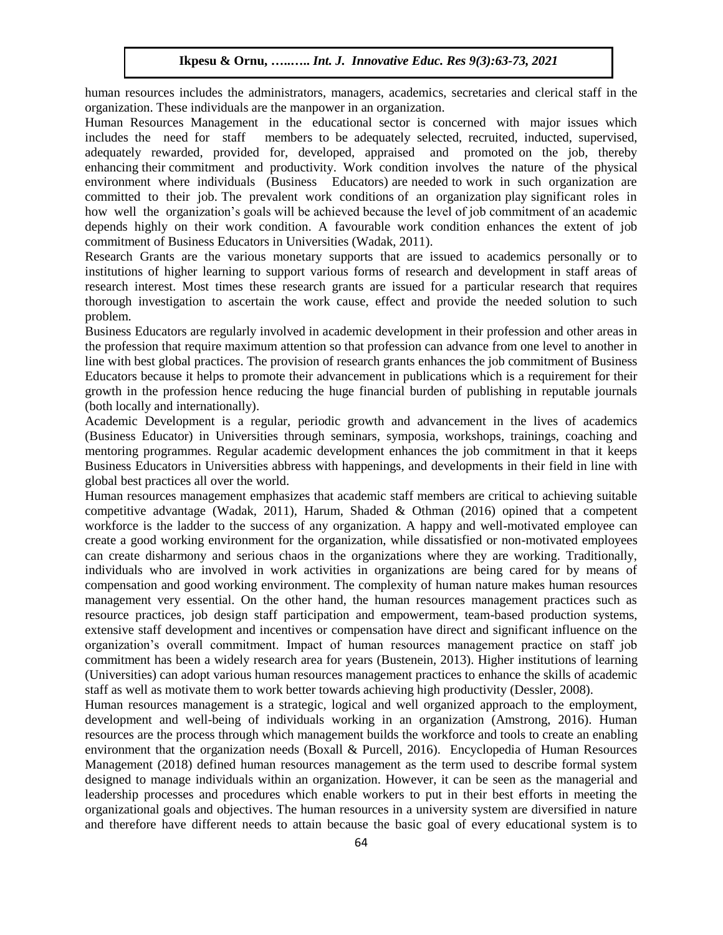human resources includes the administrators, managers, academics, secretaries and clerical staff in the organization. These individuals are the manpower in an organization.

Human Resources Management in the educational sector is concerned with major issues which includes the need for staff members to be adequately selected, recruited, inducted, supervised, adequately rewarded, provided for, developed, appraised and promoted on the job, thereby enhancing their commitment and productivity. Work condition involves the nature of the physical environment where individuals (Business Educators) are needed to work in such organization are committed to their job. The prevalent work conditions of an organization play significant roles in how well the organization's goals will be achieved because the level of job commitment of an academic depends highly on their work condition. A favourable work condition enhances the extent of job commitment of Business Educators in Universities (Wadak, 2011).

Research Grants are the various monetary supports that are issued to academics personally or to institutions of higher learning to support various forms of research and development in staff areas of research interest. Most times these research grants are issued for a particular research that requires thorough investigation to ascertain the work cause, effect and provide the needed solution to such problem.

Business Educators are regularly involved in academic development in their profession and other areas in the profession that require maximum attention so that profession can advance from one level to another in line with best global practices. The provision of research grants enhances the job commitment of Business Educators because it helps to promote their advancement in publications which is a requirement for their growth in the profession hence reducing the huge financial burden of publishing in reputable journals (both locally and internationally).

Academic Development is a regular, periodic growth and advancement in the lives of academics (Business Educator) in Universities through seminars, symposia, workshops, trainings, coaching and mentoring programmes. Regular academic development enhances the job commitment in that it keeps Business Educators in Universities abbress with happenings, and developments in their field in line with global best practices all over the world.

Human resources management emphasizes that academic staff members are critical to achieving suitable competitive advantage (Wadak, 2011), Harum, Shaded & Othman (2016) opined that a competent workforce is the ladder to the success of any organization. A happy and well-motivated employee can create a good working environment for the organization, while dissatisfied or non-motivated employees can create disharmony and serious chaos in the organizations where they are working. Traditionally, individuals who are involved in work activities in organizations are being cared for by means of compensation and good working environment. The complexity of human nature makes human resources management very essential. On the other hand, the human resources management practices such as resource practices, job design staff participation and empowerment, team-based production systems, extensive staff development and incentives or compensation have direct and significant influence on the organization's overall commitment. Impact of human resources management practice on staff job commitment has been a widely research area for years (Bustenein, 2013). Higher institutions of learning (Universities) can adopt various human resources management practices to enhance the skills of academic staff as well as motivate them to work better towards achieving high productivity (Dessler, 2008).

Human resources management is a strategic, logical and well organized approach to the employment, development and well-being of individuals working in an organization (Amstrong, 2016). Human resources are the process through which management builds the workforce and tools to create an enabling environment that the organization needs (Boxall & Purcell, 2016). Encyclopedia of Human Resources Management (2018) defined human resources management as the term used to describe formal system designed to manage individuals within an organization. However, it can be seen as the managerial and leadership processes and procedures which enable workers to put in their best efforts in meeting the organizational goals and objectives. The human resources in a university system are diversified in nature and therefore have different needs to attain because the basic goal of every educational system is to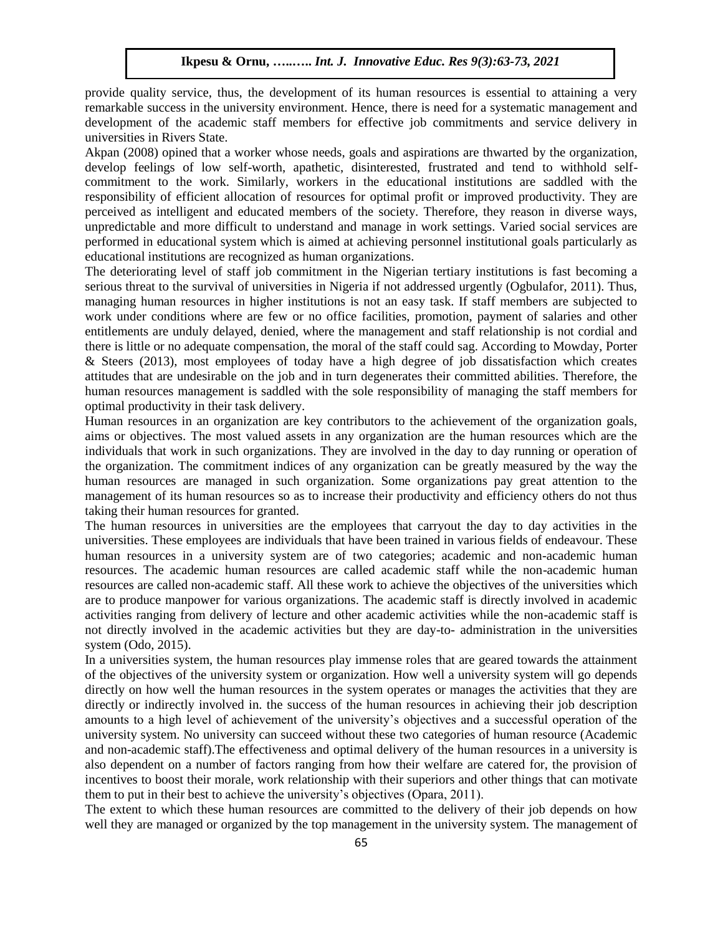provide quality service, thus, the development of its human resources is essential to attaining a very remarkable success in the university environment. Hence, there is need for a systematic management and development of the academic staff members for effective job commitments and service delivery in universities in Rivers State.

Akpan (2008) opined that a worker whose needs, goals and aspirations are thwarted by the organization, develop feelings of low self-worth, apathetic, disinterested, frustrated and tend to withhold selfcommitment to the work. Similarly, workers in the educational institutions are saddled with the responsibility of efficient allocation of resources for optimal profit or improved productivity. They are perceived as intelligent and educated members of the society. Therefore, they reason in diverse ways, unpredictable and more difficult to understand and manage in work settings. Varied social services are performed in educational system which is aimed at achieving personnel institutional goals particularly as educational institutions are recognized as human organizations.

The deteriorating level of staff job commitment in the Nigerian tertiary institutions is fast becoming a serious threat to the survival of universities in Nigeria if not addressed urgently (Ogbulafor, 2011). Thus, managing human resources in higher institutions is not an easy task. If staff members are subjected to work under conditions where are few or no office facilities, promotion, payment of salaries and other entitlements are unduly delayed, denied, where the management and staff relationship is not cordial and there is little or no adequate compensation, the moral of the staff could sag. According to Mowday, Porter & Steers (2013), most employees of today have a high degree of job dissatisfaction which creates attitudes that are undesirable on the job and in turn degenerates their committed abilities. Therefore, the human resources management is saddled with the sole responsibility of managing the staff members for optimal productivity in their task delivery.

Human resources in an organization are key contributors to the achievement of the organization goals, aims or objectives. The most valued assets in any organization are the human resources which are the individuals that work in such organizations. They are involved in the day to day running or operation of the organization. The commitment indices of any organization can be greatly measured by the way the human resources are managed in such organization. Some organizations pay great attention to the management of its human resources so as to increase their productivity and efficiency others do not thus taking their human resources for granted.

The human resources in universities are the employees that carryout the day to day activities in the universities. These employees are individuals that have been trained in various fields of endeavour. These human resources in a university system are of two categories; academic and non-academic human resources. The academic human resources are called academic staff while the non-academic human resources are called non-academic staff. All these work to achieve the objectives of the universities which are to produce manpower for various organizations. The academic staff is directly involved in academic activities ranging from delivery of lecture and other academic activities while the non-academic staff is not directly involved in the academic activities but they are day-to- administration in the universities system (Odo, 2015).

In a universities system, the human resources play immense roles that are geared towards the attainment of the objectives of the university system or organization. How well a university system will go depends directly on how well the human resources in the system operates or manages the activities that they are directly or indirectly involved in. the success of the human resources in achieving their job description amounts to a high level of achievement of the university's objectives and a successful operation of the university system. No university can succeed without these two categories of human resource (Academic and non-academic staff).The effectiveness and optimal delivery of the human resources in a university is also dependent on a number of factors ranging from how their welfare are catered for, the provision of incentives to boost their morale, work relationship with their superiors and other things that can motivate them to put in their best to achieve the university's objectives (Opara, 2011).

The extent to which these human resources are committed to the delivery of their job depends on how well they are managed or organized by the top management in the university system. The management of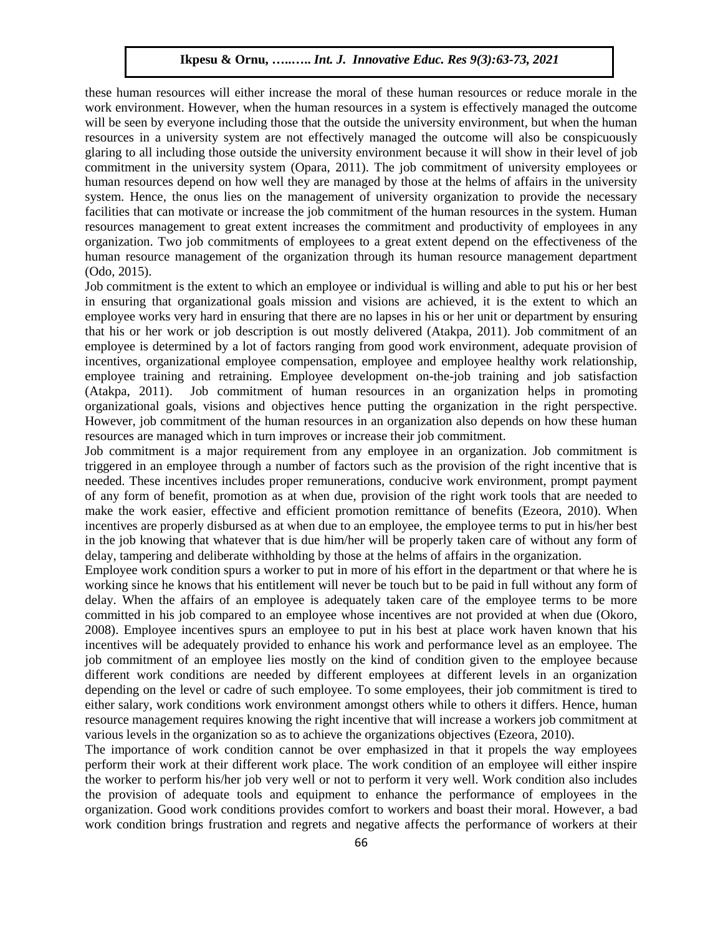these human resources will either increase the moral of these human resources or reduce morale in the work environment. However, when the human resources in a system is effectively managed the outcome will be seen by everyone including those that the outside the university environment, but when the human resources in a university system are not effectively managed the outcome will also be conspicuously glaring to all including those outside the university environment because it will show in their level of job commitment in the university system (Opara, 2011). The job commitment of university employees or human resources depend on how well they are managed by those at the helms of affairs in the university system. Hence, the onus lies on the management of university organization to provide the necessary facilities that can motivate or increase the job commitment of the human resources in the system. Human resources management to great extent increases the commitment and productivity of employees in any organization. Two job commitments of employees to a great extent depend on the effectiveness of the human resource management of the organization through its human resource management department (Odo, 2015).

Job commitment is the extent to which an employee or individual is willing and able to put his or her best in ensuring that organizational goals mission and visions are achieved, it is the extent to which an employee works very hard in ensuring that there are no lapses in his or her unit or department by ensuring that his or her work or job description is out mostly delivered (Atakpa, 2011). Job commitment of an employee is determined by a lot of factors ranging from good work environment, adequate provision of incentives, organizational employee compensation, employee and employee healthy work relationship, employee training and retraining. Employee development on-the-job training and job satisfaction (Atakpa, 2011). Job commitment of human resources in an organization helps in promoting organizational goals, visions and objectives hence putting the organization in the right perspective. However, job commitment of the human resources in an organization also depends on how these human resources are managed which in turn improves or increase their job commitment.

Job commitment is a major requirement from any employee in an organization. Job commitment is triggered in an employee through a number of factors such as the provision of the right incentive that is needed. These incentives includes proper remunerations, conducive work environment, prompt payment of any form of benefit, promotion as at when due, provision of the right work tools that are needed to make the work easier, effective and efficient promotion remittance of benefits (Ezeora, 2010). When incentives are properly disbursed as at when due to an employee, the employee terms to put in his/her best in the job knowing that whatever that is due him/her will be properly taken care of without any form of delay, tampering and deliberate withholding by those at the helms of affairs in the organization.

Employee work condition spurs a worker to put in more of his effort in the department or that where he is working since he knows that his entitlement will never be touch but to be paid in full without any form of delay. When the affairs of an employee is adequately taken care of the employee terms to be more committed in his job compared to an employee whose incentives are not provided at when due (Okoro, 2008). Employee incentives spurs an employee to put in his best at place work haven known that his incentives will be adequately provided to enhance his work and performance level as an employee. The job commitment of an employee lies mostly on the kind of condition given to the employee because different work conditions are needed by different employees at different levels in an organization depending on the level or cadre of such employee. To some employees, their job commitment is tired to either salary, work conditions work environment amongst others while to others it differs. Hence, human resource management requires knowing the right incentive that will increase a workers job commitment at various levels in the organization so as to achieve the organizations objectives (Ezeora, 2010).

The importance of work condition cannot be over emphasized in that it propels the way employees perform their work at their different work place. The work condition of an employee will either inspire the worker to perform his/her job very well or not to perform it very well. Work condition also includes the provision of adequate tools and equipment to enhance the performance of employees in the organization. Good work conditions provides comfort to workers and boast their moral. However, a bad work condition brings frustration and regrets and negative affects the performance of workers at their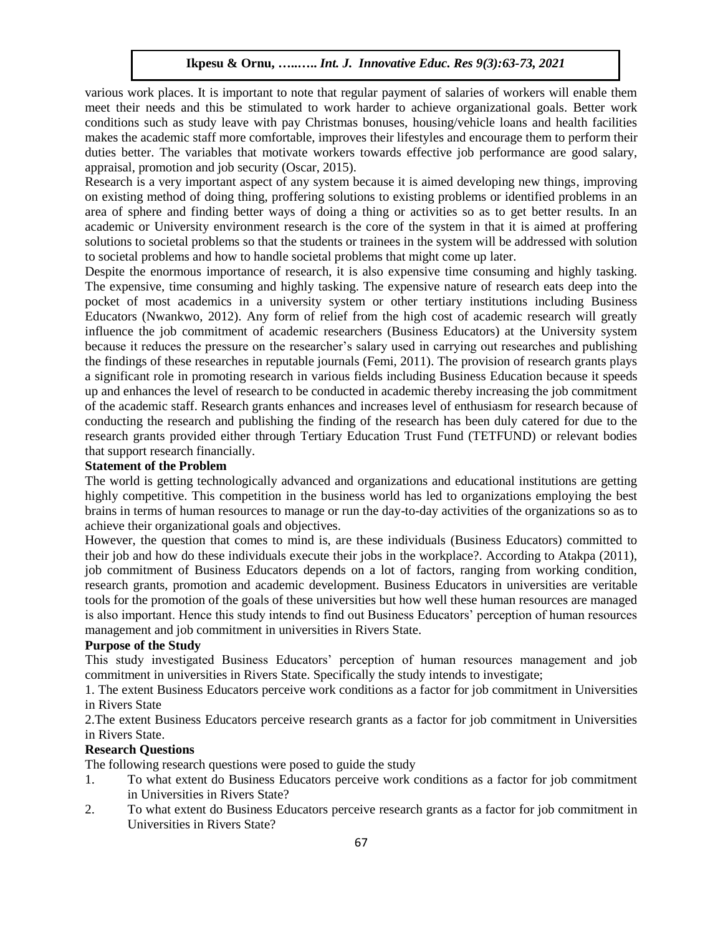various work places. It is important to note that regular payment of salaries of workers will enable them meet their needs and this be stimulated to work harder to achieve organizational goals. Better work conditions such as study leave with pay Christmas bonuses, housing/vehicle loans and health facilities makes the academic staff more comfortable, improves their lifestyles and encourage them to perform their duties better. The variables that motivate workers towards effective job performance are good salary, appraisal, promotion and job security (Oscar, 2015).

Research is a very important aspect of any system because it is aimed developing new things, improving on existing method of doing thing, proffering solutions to existing problems or identified problems in an area of sphere and finding better ways of doing a thing or activities so as to get better results. In an academic or University environment research is the core of the system in that it is aimed at proffering solutions to societal problems so that the students or trainees in the system will be addressed with solution to societal problems and how to handle societal problems that might come up later.

Despite the enormous importance of research, it is also expensive time consuming and highly tasking. The expensive, time consuming and highly tasking. The expensive nature of research eats deep into the pocket of most academics in a university system or other tertiary institutions including Business Educators (Nwankwo, 2012). Any form of relief from the high cost of academic research will greatly influence the job commitment of academic researchers (Business Educators) at the University system because it reduces the pressure on the researcher's salary used in carrying out researches and publishing the findings of these researches in reputable journals (Femi, 2011). The provision of research grants plays a significant role in promoting research in various fields including Business Education because it speeds up and enhances the level of research to be conducted in academic thereby increasing the job commitment of the academic staff. Research grants enhances and increases level of enthusiasm for research because of conducting the research and publishing the finding of the research has been duly catered for due to the research grants provided either through Tertiary Education Trust Fund (TETFUND) or relevant bodies that support research financially.

## **Statement of the Problem**

The world is getting technologically advanced and organizations and educational institutions are getting highly competitive. This competition in the business world has led to organizations employing the best brains in terms of human resources to manage or run the day-to-day activities of the organizations so as to achieve their organizational goals and objectives.

However, the question that comes to mind is, are these individuals (Business Educators) committed to their job and how do these individuals execute their jobs in the workplace?. According to Atakpa (2011), job commitment of Business Educators depends on a lot of factors, ranging from working condition, research grants, promotion and academic development. Business Educators in universities are veritable tools for the promotion of the goals of these universities but how well these human resources are managed is also important. Hence this study intends to find out Business Educators' perception of human resources management and job commitment in universities in Rivers State.

#### **Purpose of the Study**

This study investigated Business Educators' perception of human resources management and job commitment in universities in Rivers State. Specifically the study intends to investigate;

1. The extent Business Educators perceive work conditions as a factor for job commitment in Universities in Rivers State

2.The extent Business Educators perceive research grants as a factor for job commitment in Universities in Rivers State.

#### **Research Questions**

The following research questions were posed to guide the study

- 1. To what extent do Business Educators perceive work conditions as a factor for job commitment in Universities in Rivers State?
- 2. To what extent do Business Educators perceive research grants as a factor for job commitment in Universities in Rivers State?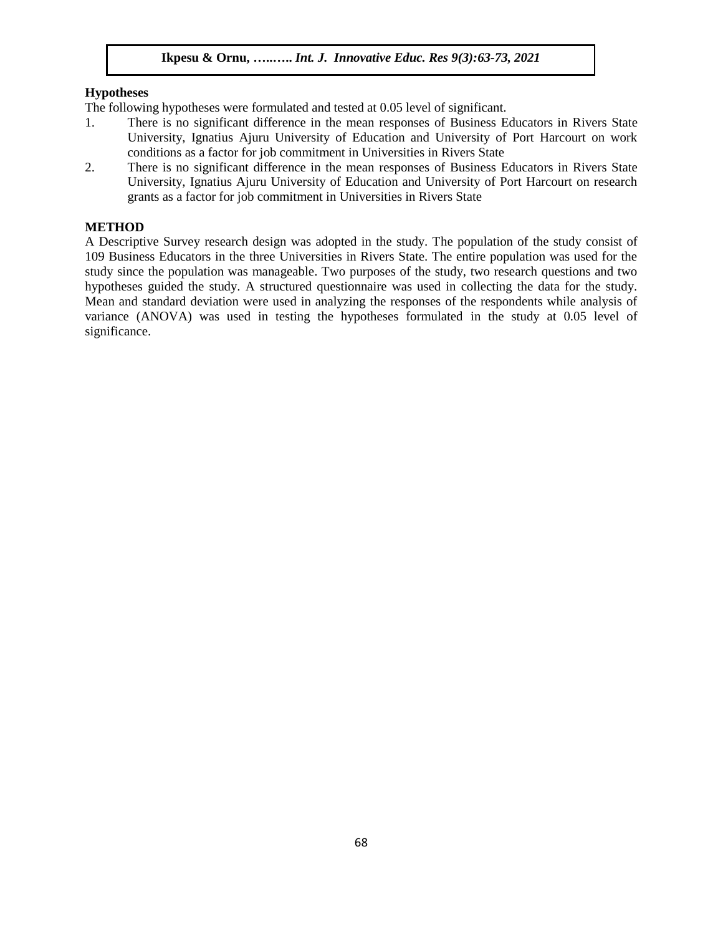#### **Hypotheses**

The following hypotheses were formulated and tested at 0.05 level of significant.

- 1. There is no significant difference in the mean responses of Business Educators in Rivers State University, Ignatius Ajuru University of Education and University of Port Harcourt on work conditions as a factor for job commitment in Universities in Rivers State
- 2. There is no significant difference in the mean responses of Business Educators in Rivers State University, Ignatius Ajuru University of Education and University of Port Harcourt on research grants as a factor for job commitment in Universities in Rivers State

## **METHOD**

A Descriptive Survey research design was adopted in the study. The population of the study consist of 109 Business Educators in the three Universities in Rivers State. The entire population was used for the study since the population was manageable. Two purposes of the study, two research questions and two hypotheses guided the study. A structured questionnaire was used in collecting the data for the study. Mean and standard deviation were used in analyzing the responses of the respondents while analysis of variance (ANOVA) was used in testing the hypotheses formulated in the study at 0.05 level of significance.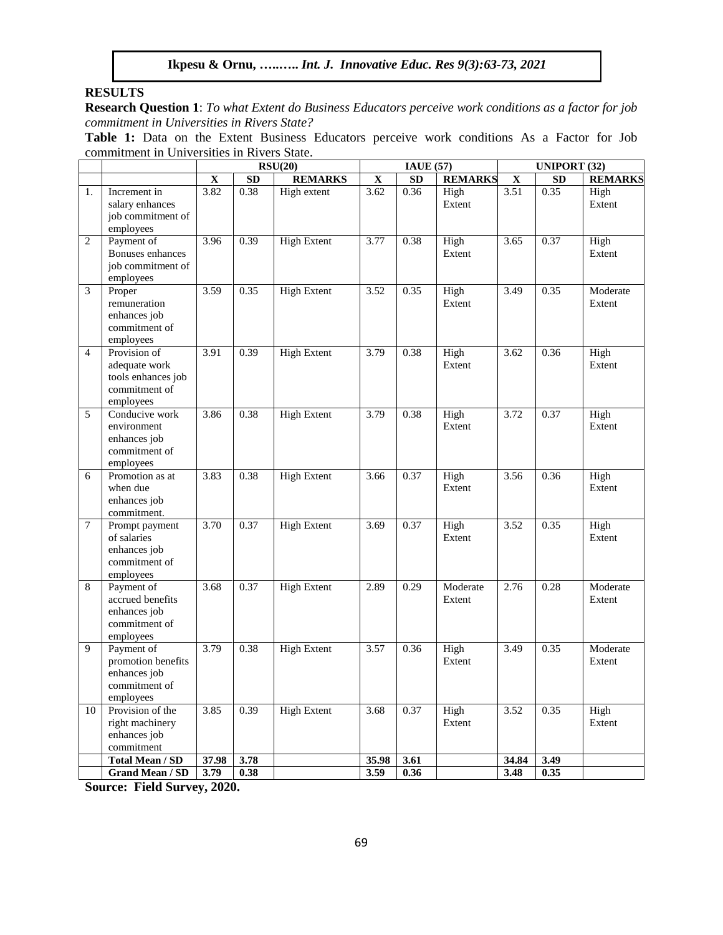#### **RESULTS**

**Research Question 1**: *To what Extent do Business Educators perceive work conditions as a factor for job commitment in Universities in Rivers State?*

**Table 1:** Data on the Extent Business Educators perceive work conditions As a Factor for Job commitment in Universities in Rivers State.

|                |                                                                                   |             | RSU(20)   |                    |             | <b>IAUE</b> (57) |                    |             | <b>UNIPORT (32)</b> |                    |  |
|----------------|-----------------------------------------------------------------------------------|-------------|-----------|--------------------|-------------|------------------|--------------------|-------------|---------------------|--------------------|--|
|                |                                                                                   | $\mathbf X$ | <b>SD</b> | <b>REMARKS</b>     | $\mathbf X$ | ${\bf SD}$       | <b>REMARKS</b>     | $\mathbf X$ | <b>SD</b>           | <b>REMARKS</b>     |  |
| 1.             | Increment in<br>salary enhances<br>job commitment of<br>employees                 | 3.82        | 0.38      | High extent        | 3.62        | 0.36             | High<br>Extent     | 3.51        | 0.35                | High<br>Extent     |  |
| $\overline{c}$ | Payment of<br>Bonuses enhances<br>job commitment of<br>employees                  | 3.96        | 0.39      | <b>High Extent</b> | 3.77        | 0.38             | High<br>Extent     | 3.65        | 0.37                | High<br>Extent     |  |
| 3              | Proper<br>remuneration<br>enhances job<br>commitment of<br>employees              | 3.59        | 0.35      | <b>High Extent</b> | 3.52        | 0.35             | High<br>Extent     | 3.49        | 0.35                | Moderate<br>Extent |  |
| $\overline{4}$ | Provision of<br>adequate work<br>tools enhances job<br>commitment of<br>employees | 3.91        | 0.39      | <b>High Extent</b> | 3.79        | 0.38             | High<br>Extent     | 3.62        | 0.36                | High<br>Extent     |  |
| 5              | Conducive work<br>environment<br>enhances job<br>commitment of<br>employees       | 3.86        | 0.38      | <b>High Extent</b> | 3.79        | 0.38             | High<br>Extent     | 3.72        | 0.37                | High<br>Extent     |  |
| 6              | Promotion as at<br>when due<br>enhances job<br>commitment.                        | 3.83        | 0.38      | <b>High Extent</b> | 3.66        | 0.37             | High<br>Extent     | 3.56        | 0.36                | High<br>Extent     |  |
| $\overline{7}$ | Prompt payment<br>of salaries<br>enhances job<br>commitment of<br>employees       | 3.70        | 0.37      | <b>High Extent</b> | 3.69        | 0.37             | High<br>Extent     | 3.52        | 0.35                | High<br>Extent     |  |
| 8              | Payment of<br>accrued benefits<br>enhances job<br>commitment of<br>employees      | 3.68        | 0.37      | <b>High Extent</b> | 2.89        | 0.29             | Moderate<br>Extent | 2.76        | 0.28                | Moderate<br>Extent |  |
| 9              | Payment of<br>promotion benefits<br>enhances job<br>commitment of<br>employees    | 3.79        | 0.38      | <b>High Extent</b> | 3.57        | 0.36             | High<br>Extent     | 3.49        | 0.35                | Moderate<br>Extent |  |
| 10             | Provision of the<br>right machinery<br>enhances job<br>commitment                 | 3.85        | 0.39      | <b>High Extent</b> | 3.68        | 0.37             | High<br>Extent     | 3.52        | 0.35                | High<br>Extent     |  |
|                | <b>Total Mean / SD</b>                                                            | 37.98       | 3.78      |                    | 35.98       | 3.61             |                    | 34.84       | 3.49                |                    |  |
|                | <b>Grand Mean / SD</b>                                                            | 3.79        | 0.38      |                    | 3.59        | 0.36             |                    | 3.48        | 0.35                |                    |  |

**Source: Field Survey, 2020.**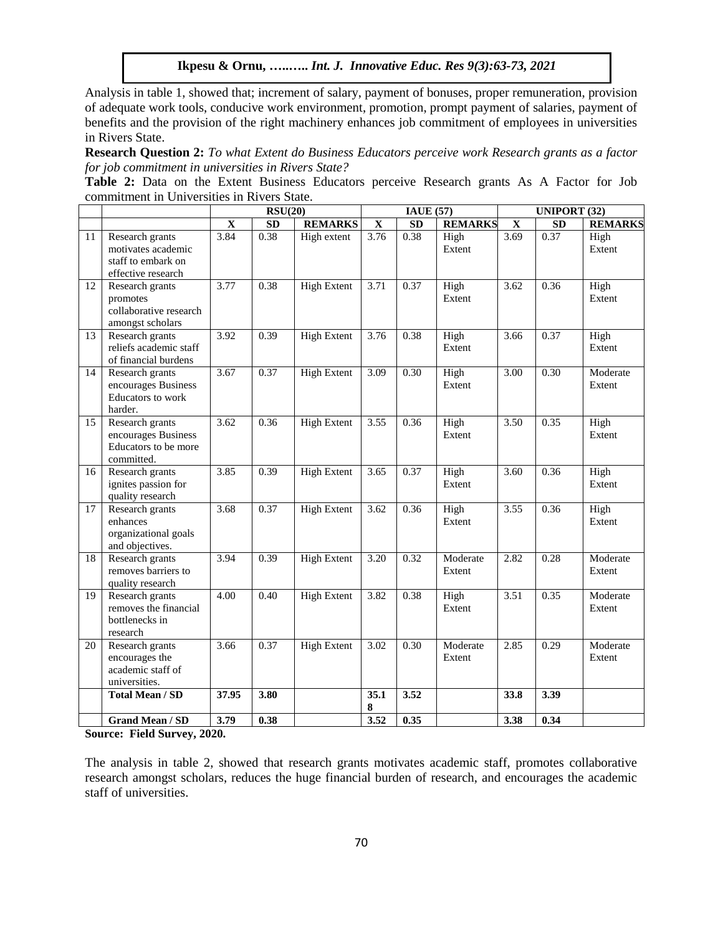Analysis in table 1, showed that; increment of salary, payment of bonuses, proper remuneration, provision of adequate work tools, conducive work environment, promotion, prompt payment of salaries, payment of benefits and the provision of the right machinery enhances job commitment of employees in universities in Rivers State.

**Research Question 2:** *To what Extent do Business Educators perceive work Research grants as a factor for job commitment in universities in Rivers State?*

**Table 2:** Data on the Extent Business Educators perceive Research grants As A Factor for Job commitment in Universities in Rivers State.

|                 |                                                                                   |             | RSU(20)    |                    |                         | <b>IAUE</b> (57) |                    | <b>UNIPORT (32)</b>     |           |                    |
|-----------------|-----------------------------------------------------------------------------------|-------------|------------|--------------------|-------------------------|------------------|--------------------|-------------------------|-----------|--------------------|
|                 |                                                                                   | $\mathbf X$ | ${\bf SD}$ | <b>REMARKS</b>     | $\overline{\mathbf{X}}$ | ${\bf SD}$       | <b>REMARKS</b>     | $\overline{\mathbf{X}}$ | <b>SD</b> | <b>REMARKS</b>     |
| 11              | Research grants<br>motivates academic<br>staff to embark on<br>effective research | 3.84        | 0.38       | High extent        | 3.76                    | 0.38             | High<br>Extent     | 3.69                    | 0.37      | High<br>Extent     |
| 12              | Research grants<br>promotes<br>collaborative research<br>amongst scholars         | 3.77        | 0.38       | <b>High Extent</b> | 3.71                    | 0.37             | High<br>Extent     | 3.62                    | 0.36      | High<br>Extent     |
| 13              | Research grants<br>reliefs academic staff<br>of financial burdens                 | 3.92        | 0.39       | <b>High Extent</b> | 3.76                    | 0.38             | High<br>Extent     | 3.66                    | 0.37      | High<br>Extent     |
| 14              | Research grants<br>encourages Business<br>Educators to work<br>harder.            | 3.67        | 0.37       | <b>High Extent</b> | 3.09                    | 0.30             | High<br>Extent     | 3.00                    | 0.30      | Moderate<br>Extent |
| 15              | Research grants<br>encourages Business<br>Educators to be more<br>committed.      | 3.62        | 0.36       | <b>High Extent</b> | 3.55                    | 0.36             | High<br>Extent     | 3.50                    | 0.35      | High<br>Extent     |
| 16              | Research grants<br>ignites passion for<br>quality research                        | 3.85        | 0.39       | <b>High Extent</b> | 3.65                    | 0.37             | High<br>Extent     | 3.60                    | 0.36      | High<br>Extent     |
| $\overline{17}$ | Research grants<br>enhances<br>organizational goals<br>and objectives.            | 3.68        | 0.37       | <b>High Extent</b> | 3.62                    | 0.36             | High<br>Extent     | 3.55                    | 0.36      | High<br>Extent     |
| 18              | Research grants<br>removes barriers to<br>quality research                        | 3.94        | 0.39       | <b>High Extent</b> | 3.20                    | 0.32             | Moderate<br>Extent | 2.82                    | 0.28      | Moderate<br>Extent |
| 19              | Research grants<br>removes the financial<br>bottlenecks in<br>research            | 4.00        | 0.40       | <b>High Extent</b> | 3.82                    | 0.38             | High<br>Extent     | 3.51                    | 0.35      | Moderate<br>Extent |
| 20              | Research grants<br>encourages the<br>academic staff of<br>universities.           | 3.66        | 0.37       | <b>High Extent</b> | 3.02                    | 0.30             | Moderate<br>Extent | 2.85                    | 0.29      | Moderate<br>Extent |
|                 | <b>Total Mean / SD</b>                                                            | 37.95       | 3.80       |                    | 35.1<br>8               | 3.52             |                    | 33.8                    | 3.39      |                    |
|                 | <b>Grand Mean / SD</b>                                                            | 3.79        | 0.38       |                    | 3.52                    | 0.35             |                    | 3.38                    | 0.34      |                    |

**Source: Field Survey, 2020.**

The analysis in table 2, showed that research grants motivates academic staff, promotes collaborative research amongst scholars, reduces the huge financial burden of research, and encourages the academic staff of universities.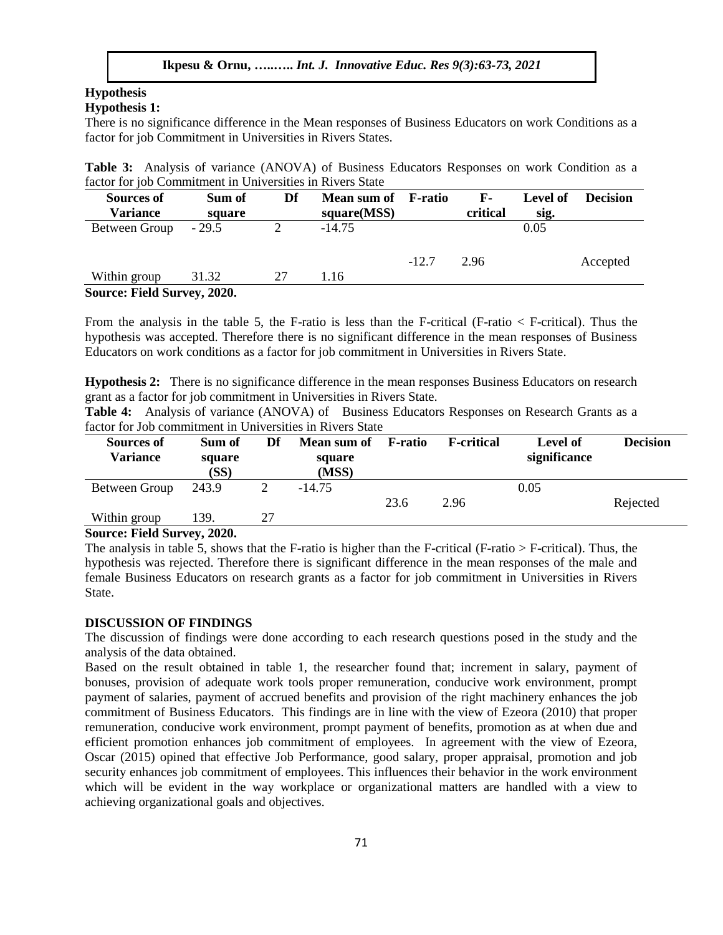## **Hypothesis**

## **Hypothesis 1:**

There is no significance difference in the Mean responses of Business Educators on work Conditions as a factor for job Commitment in Universities in Rivers States.

**Table 3:** Analysis of variance (ANOVA) of Business Educators Responses on work Condition as a factor for job Commitment in Universities in Rivers State

| <b>Sources of</b><br><b>Variance</b> | Sum of<br>square            | Df | Mean sum of<br>square(MSS) | F-ratio | $\mathbf{F}$ -<br>critical | Level of<br>sig. | <b>Decision</b> |  |  |
|--------------------------------------|-----------------------------|----|----------------------------|---------|----------------------------|------------------|-----------------|--|--|
| Between Group                        | $-29.5$                     |    | $-14.75$                   |         |                            | 0.05             |                 |  |  |
|                                      |                             |    |                            | $-12.7$ | 2.96                       |                  | Accepted        |  |  |
| Within group                         | 31.32                       | 27 | 1.16                       |         |                            |                  |                 |  |  |
|                                      | Source: Field Survey, 2020. |    |                            |         |                            |                  |                 |  |  |

From the analysis in the table 5, the F-ratio is less than the F-critical (F-ratio < F-critical). Thus the hypothesis was accepted. Therefore there is no significant difference in the mean responses of Business Educators on work conditions as a factor for job commitment in Universities in Rivers State.

**Hypothesis 2:** There is no significance difference in the mean responses Business Educators on research grant as a factor for job commitment in Universities in Rivers State.

**Table 4:** Analysis of variance (ANOVA) of Business Educators Responses on Research Grants as a factor for Job commitment in Universities in Rivers State

| Sources of<br>Variance | Sum of<br>square<br>(SS) | Df | <b>Mean sum of</b><br>square<br>(MSS) | F-ratio | <b>F</b> -critical | Level of<br>significance | <b>Decision</b> |
|------------------------|--------------------------|----|---------------------------------------|---------|--------------------|--------------------------|-----------------|
| Between Group          | 243.9                    |    | $-14.75$                              |         |                    | 0.05                     |                 |
|                        |                          |    |                                       | 23.6    | 2.96               |                          | Rejected        |
| Within group           | 139.                     | 27 |                                       |         |                    |                          |                 |

#### **Source: Field Survey, 2020.**

The analysis in table 5, shows that the F-ratio is higher than the F-critical (F-ratio > F-critical). Thus, the hypothesis was rejected. Therefore there is significant difference in the mean responses of the male and female Business Educators on research grants as a factor for job commitment in Universities in Rivers State.

#### **DISCUSSION OF FINDINGS**

The discussion of findings were done according to each research questions posed in the study and the analysis of the data obtained.

Based on the result obtained in table 1, the researcher found that; increment in salary, payment of bonuses, provision of adequate work tools proper remuneration, conducive work environment, prompt payment of salaries, payment of accrued benefits and provision of the right machinery enhances the job commitment of Business Educators. This findings are in line with the view of Ezeora (2010) that proper remuneration, conducive work environment, prompt payment of benefits, promotion as at when due and efficient promotion enhances job commitment of employees. In agreement with the view of Ezeora, Oscar (2015) opined that effective Job Performance, good salary, proper appraisal, promotion and job security enhances job commitment of employees. This influences their behavior in the work environment which will be evident in the way workplace or organizational matters are handled with a view to achieving organizational goals and objectives.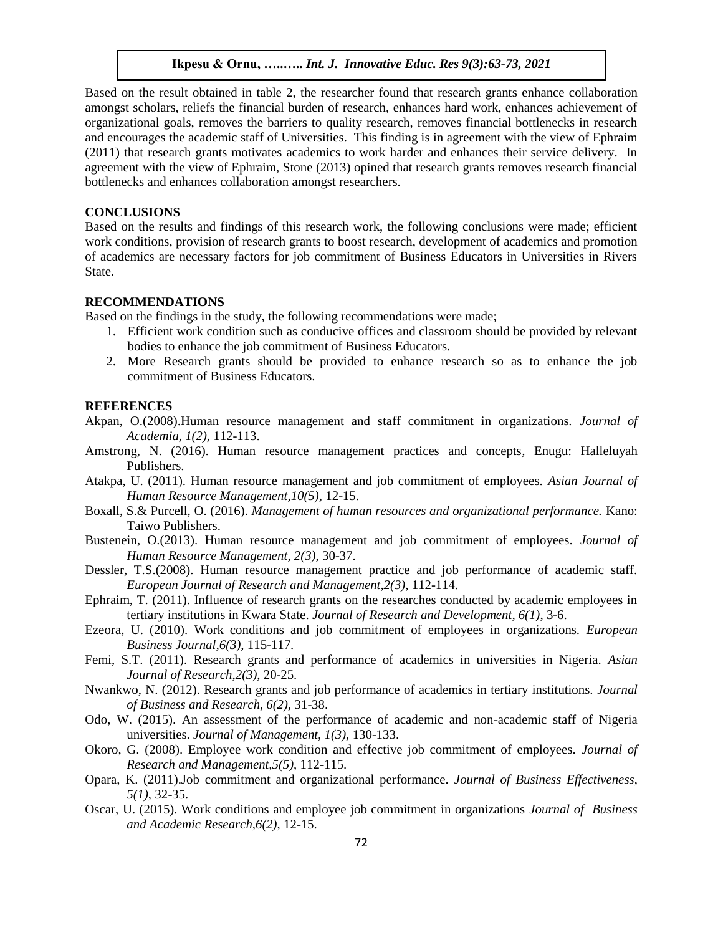Based on the result obtained in table 2, the researcher found that research grants enhance collaboration amongst scholars, reliefs the financial burden of research, enhances hard work, enhances achievement of organizational goals, removes the barriers to quality research, removes financial bottlenecks in research and encourages the academic staff of Universities. This finding is in agreement with the view of Ephraim (2011) that research grants motivates academics to work harder and enhances their service delivery. In agreement with the view of Ephraim, Stone (2013) opined that research grants removes research financial bottlenecks and enhances collaboration amongst researchers.

#### **CONCLUSIONS**

Based on the results and findings of this research work, the following conclusions were made; efficient work conditions, provision of research grants to boost research, development of academics and promotion of academics are necessary factors for job commitment of Business Educators in Universities in Rivers State.

#### **RECOMMENDATIONS**

Based on the findings in the study, the following recommendations were made;

- 1. Efficient work condition such as conducive offices and classroom should be provided by relevant bodies to enhance the job commitment of Business Educators.
- 2. More Research grants should be provided to enhance research so as to enhance the job commitment of Business Educators.

#### **REFERENCES**

- Akpan, O.(2008).Human resource management and staff commitment in organizations. *Journal of Academia, 1(2)*, 112-113.
- Amstrong, N. (2016). Human resource management practices and concepts*,* Enugu: Halleluyah Publishers.
- Atakpa, U. (2011). Human resource management and job commitment of employees. *Asian Journal of Human Resource Management,10(5)*, 12-15.
- Boxall, S.& Purcell, O. (2016). *Management of human resources and organizational performance.* Kano: Taiwo Publishers.
- Bustenein, O.(2013). Human resource management and job commitment of employees. *Journal of Human Resource Management, 2(3)*, 30-37.
- Dessler, T.S.(2008). Human resource management practice and job performance of academic staff. *European Journal of Research and Management,2(3)*, 112-114.
- Ephraim, T. (2011). Influence of research grants on the researches conducted by academic employees in tertiary institutions in Kwara State. *Journal of Research and Development, 6(1)*, 3-6.
- Ezeora, U. (2010). Work conditions and job commitment of employees in organizations. *European Business Journal,6(3)*, 115-117.
- Femi, S.T. (2011). Research grants and performance of academics in universities in Nigeria. *Asian Journal of Research*,*2(3)*, 20-25.
- Nwankwo, N. (2012). Research grants and job performance of academics in tertiary institutions. *Journal of Business and Research*, *6(2)*, 31-38.
- Odo, W. (2015). An assessment of the performance of academic and non-academic staff of Nigeria universities. *Journal of Management, 1(3),* 130-133.
- Okoro, G. (2008). Employee work condition and effective job commitment of employees. *Journal of Research and Management,5(5)*, 112-115.
- Opara, K. (2011).Job commitment and organizational performance. *Journal of Business Effectiveness*, *5(1)*, 32-35.
- Oscar, U. (2015). Work conditions and employee job commitment in organizations *Journal of Business and Academic Research,6(2)*, 12-15.